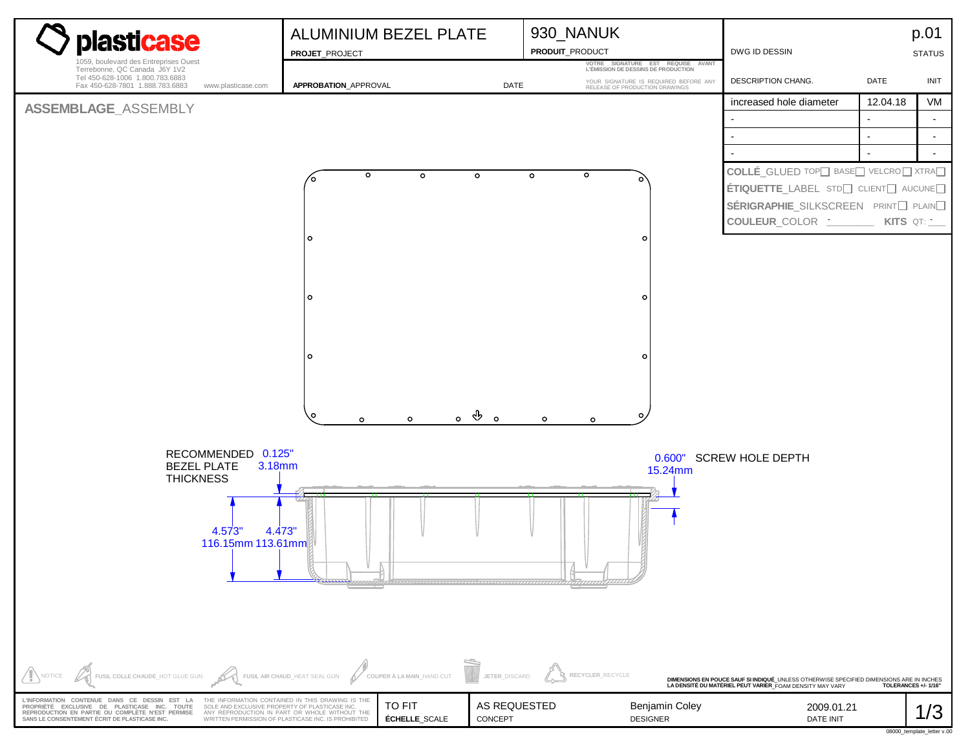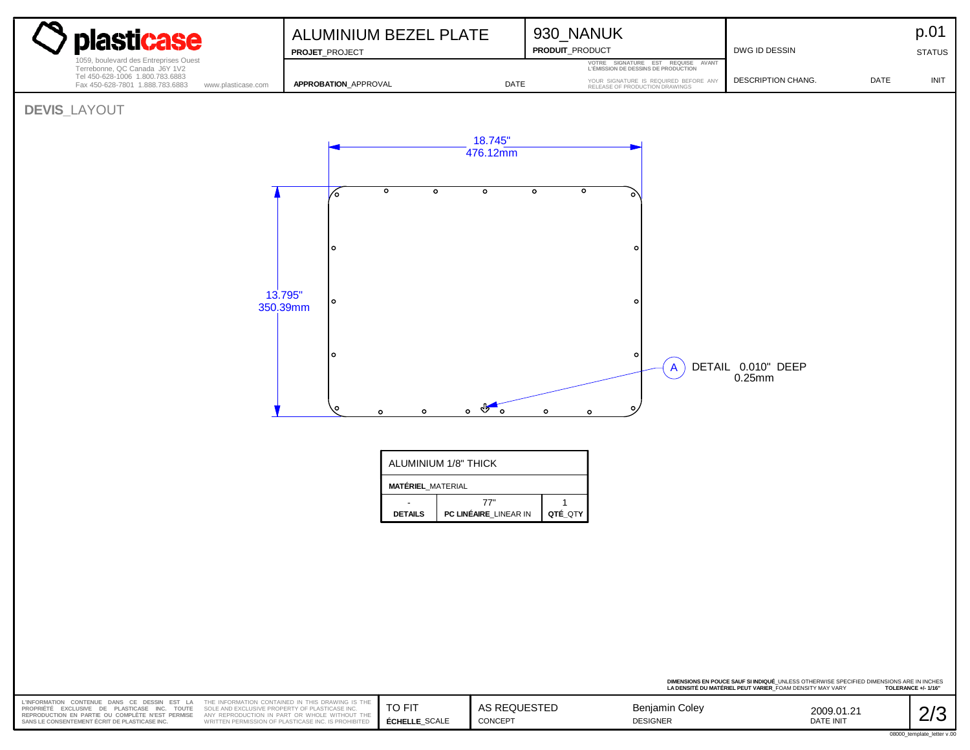| plasticase<br>1059, boulevard des Entreprises Ouest                                                                                                                                                                                                 | ALUMINIUM BEZEL PLATE<br>PROJET_PROJECT                                                                                                                  |                                                                                              |                                                                      | 930_NANUK<br>PRODUIT_PRODUCT                                              |                                                                                          | DWG ID DESSIN                                                                                                                                                            |            | p.01<br><b>STATUS</b>             |
|-----------------------------------------------------------------------------------------------------------------------------------------------------------------------------------------------------------------------------------------------------|----------------------------------------------------------------------------------------------------------------------------------------------------------|----------------------------------------------------------------------------------------------|----------------------------------------------------------------------|---------------------------------------------------------------------------|------------------------------------------------------------------------------------------|--------------------------------------------------------------------------------------------------------------------------------------------------------------------------|------------|-----------------------------------|
| Tel 450-628-1006 1.800.783.6883<br>Fax 450-628-7801 1.888.783.6883<br>www.plasticase.com                                                                                                                                                            | APPROBATION_APPROVAL                                                                                                                                     |                                                                                              |                                                                      | YOUR SIGNATURE IS REQUIRED BEFORE ANY RELEASE OF PRODUCTION DRAWINGS      |                                                                                          | DESCRIPTION CHANG.                                                                                                                                                       | DATE       | <b>INIT</b>                       |
| Terrebonne, QC Canada J6Y 1V2<br><b>DEVIS_LAYOUT</b><br>13.795"<br>350.39mm                                                                                                                                                                         | ∕∘<br>۱o<br>$\circ$<br>l o                                                                                                                               | $\circ$<br>$\circ$<br>$\circ$<br>$\circ$<br>ALUMINIUM 1/8" THICK<br><b>MATÉRIEL_MATERIAL</b> | DATE<br>18.745"<br>476.12mm<br>$\circ$<br>$\circ$ $\circ$<br>$\circ$ | $\circ$<br>$\circ$<br>$\circ$<br>$\circ$<br>$\circ$<br>$\circ$<br>$\circ$ | VOTRE SIGNATURE EST REQUISE AVANT<br>L'ÉMISSION DE DESSINS DE PRODUCTION<br>$\mathsf{A}$ | DETAIL 0.010" DEEP<br>$0.25$ mm                                                                                                                                          |            |                                   |
| <b>DETAILS</b>                                                                                                                                                                                                                                      |                                                                                                                                                          |                                                                                              | 77"<br>PC LINÉAIRE_LINEAR IN                                         | $\overline{1}$<br>QTÉ_QTY                                                 |                                                                                          |                                                                                                                                                                          |            |                                   |
|                                                                                                                                                                                                                                                     |                                                                                                                                                          |                                                                                              |                                                                      |                                                                           |                                                                                          | DIMENSIONS EN POUCE SAUF SI INDIQUÉ_UNLESS OTHERWISE SPECIFIED DIMENSIONS ARE IN INCHES<br>LA DENSITÉ DU MATÉRIEL PEUT VARIER_FOAM DENSITY MAY VARY ⊂TOLERANCE +/- 1/16" |            |                                   |
| L'INFORMATION CONTENUE DANS CE DESSIN EST LA<br>PROPRIÉTÉ EXCLUSIVE DE PLASTICASE INC. TOUTE<br>SOLE AND EXCLUSIVE PROPERTY OF PLASTICASE INC.<br>REPRODUCTION EN PARTIE OU COMPLÈTE N'EST PERMISE<br>SANS LE CONSENTEMENT ÉCRIT DE PLASTICASE INC. | THE INFORMATION CONTAINED IN THIS DRAWING IS THE<br>ANY REPRODUCTION IN PART OR WHOLE WITHOUT THE<br>WRITTEN PERMISSION OF PLASTICASE INC. IS PROHIBITED | TO FIT<br>ÉCHELLE_SCALE                                                                      | AS REQUESTED<br>CONCEPT                                              |                                                                           | Benjamin Coley<br><b>DESIGNER</b>                                                        | DATE INIT                                                                                                                                                                | 2009.01.21 | 2/3<br>08000 template letter v.00 |